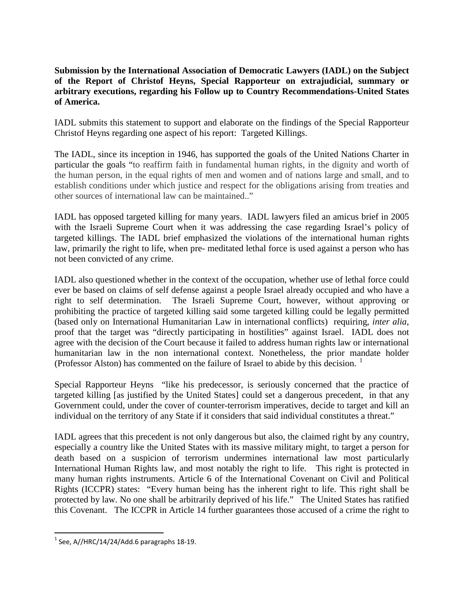**Submission by the International Association of Democratic Lawyers (IADL) on the Subject of the Report of Christof Heyns, Special Rapporteur on extrajudicial, summary or arbitrary executions, regarding his Follow up to Country Recommendations-United States of America.**

IADL submits this statement to support and elaborate on the findings of the Special Rapporteur Christof Heyns regarding one aspect of his report: Targeted Killings.

The IADL, since its inception in 1946, has supported the goals of the United Nations Charter in particular the goals "to reaffirm faith in fundamental human rights, in the dignity and worth of the human person, in the equal rights of men and women and of nations large and small, and to establish conditions under which justice and respect for the obligations arising from treaties and other sources of international law can be maintained.."

IADL has opposed targeted killing for many years. IADL lawyers filed an amicus brief in 2005 with the Israeli Supreme Court when it was addressing the case regarding Israel's policy of targeted killings. The IADL brief emphasized the violations of the international human rights law, primarily the right to life, when pre- meditated lethal force is used against a person who has not been convicted of any crime.

IADL also questioned whether in the context of the occupation, whether use of lethal force could ever be based on claims of self defense against a people Israel already occupied and who have a right to self determination. The Israeli Supreme Court, however, without approving or prohibiting the practice of targeted killing said some targeted killing could be legally permitted (based only on International Humanitarian Law in international conflicts) requiring, *inter alia*, proof that the target was "directly participating in hostilities" against Israel. IADL does not agree with the decision of the Court because it failed to address human rights law or international humanitarian law in the non international context. Nonetheless, the prior mandate holder (Professor Alston) has commented on the failure of Israel to abide by this decision.  $\frac{1}{1}$ 

Special Rapporteur Heyns "like his predecessor, is seriously concerned that the practice of targeted killing [as justified by the United States] could set a dangerous precedent, in that any Government could, under the cover of counter-terrorism imperatives, decide to target and kill an individual on the territory of any State if it considers that said individual constitutes a threat."

IADL agrees that this precedent is not only dangerous but also, the claimed right by any country, especially a country like the United States with its massive military might, to target a person for death based on a suspicion of terrorism undermines international law most particularly International Human Rights law, and most notably the right to life. This right is protected in many human rights instruments. Article 6 of the International Covenant on Civil and Political Rights (ICCPR) states: "Every human being has the inherent right to life. This right shall be protected by law. No one shall be arbitrarily deprived of his life." The United States has ratified this Covenant. The ICCPR in Article 14 further guarantees those accused of a crime the right to

 $<sup>1</sup>$  See, A//HRC/14/24/Add.6 paragraphs 18-19.</sup>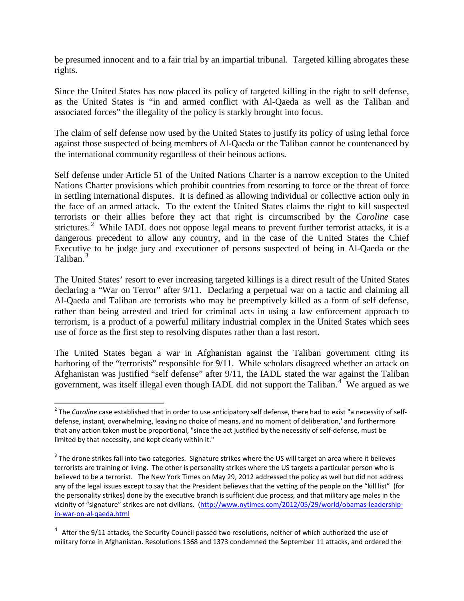be presumed innocent and to a fair trial by an impartial tribunal. Targeted killing abrogates these rights.

Since the United States has now placed its policy of targeted killing in the right to self defense, as the United States is "in and armed conflict with Al-Qaeda as well as the Taliban and associated forces" the illegality of the policy is starkly brought into focus.

The claim of self defense now used by the United States to justify its policy of using lethal force against those suspected of being members of Al-Qaeda or the Taliban cannot be countenanced by the international community regardless of their heinous actions.

Self defense under Article 51 of the United Nations Charter is a narrow exception to the United Nations Charter provisions which prohibit countries from resorting to force or the threat of force in settling international disputes. It is defined as allowing individual or collective action only in the face of an armed attack. To the extent the United States claims the right to kill suspected terrorists or their allies before they act that right is circumscribed by the *Caroline* case strictures.<sup>2</sup> While IADL does not oppose legal means to prevent further terrorist attacks, it is a dangerous precedent to allow any country, and in the case of the United States the Chief Executive to be judge jury and executioner of persons suspected of being in Al-Qaeda or the Taliban.<sup>3</sup>

The United States' resort to ever increasing targeted killings is a direct result of the United States declaring a "War on Terror" after 9/11. Declaring a perpetual war on a tactic and claiming all Al-Qaeda and Taliban are terrorists who may be preemptively killed as a form of self defense, rather than being arrested and tried for criminal acts in using a law enforcement approach to terrorism, is a product of a powerful military industrial complex in the United States which sees use of force as the first step to resolving disputes rather than a last resort.

The United States began a war in Afghanistan against the Taliban government citing its harboring of the "terrorists" responsible for 9/11. While scholars disagreed whether an attack on Afghanistan was justified "self defense" after 9/11, the IADL stated the war against the Taliban government, was itself illegal even though IADL did not support the Taliban.<sup>4</sup> We argued as we

<sup>&</sup>lt;sup>2</sup> The *Caroline* case established that in order to use anticipatory self defense, there had to exist "a necessity of selfdefense, instant, overwhelming, leaving no choice of means, and no moment of deliberation,' and furthermore that any action taken must be proportional, "since the act justified by the necessity of self-defense, must be limited by that necessity, and kept clearly within it."

 $3$  The drone strikes fall into two categories. Signature strikes where the US will target an area where it believes terrorists are training or living. The other is personality strikes where the US targets a particular person who is believed to be a terrorist. The New York Times on May 29, 2012 addressed the policy as well but did not address any of the legal issues except to say that the President believes that the vetting of the people on the "kill list" (for the personality strikes) done by the executive branch is sufficient due process, and that military age males in the vicinity of "signature" strikes are not civilians. [\(http://www.nytimes.com/2012/05/29/world/obamas-leadership](http://www.nytimes.com/2012/05/29/world/obamas-leadership-in-war-on-al-qaeda.html)[in-war-on-al-qaeda.html](http://www.nytimes.com/2012/05/29/world/obamas-leadership-in-war-on-al-qaeda.html)

 $4$  After the 9/11 attacks, the Security Council passed two resolutions, neither of which authorized the use of military force in Afghanistan. Resolutions 1368 and 1373 condemned the September 11 attacks, and ordered the